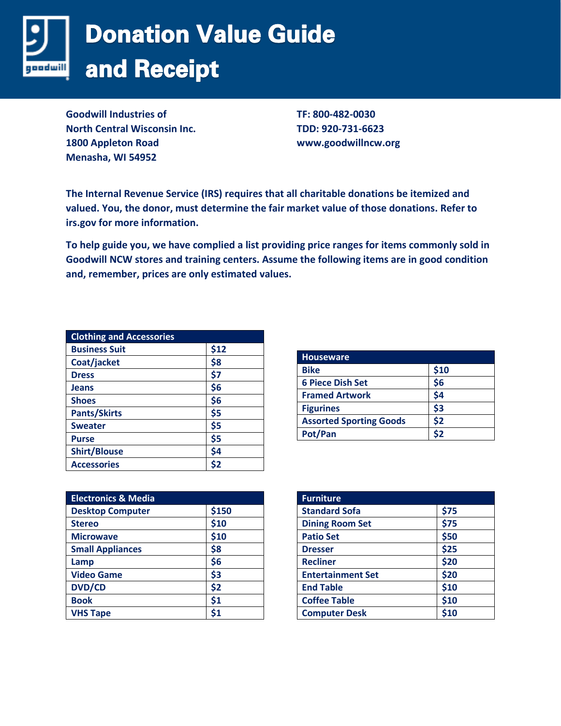

**Goodwill Industries of North Central Wisconsin Inc. 1800 Appleton Road Menasha, WI 54952**

**TF: 800-482-0030 TDD: 920-731-6623 www.goodwillncw.org**

**The Internal Revenue Service (IRS) requires that all charitable donations be itemized and valued. You, the donor, must determine the fair market value of those donations. Refer to irs.gov for more information.** 

**To help guide you, we have complied a list providing price ranges for items commonly sold in Goodwill NCW stores and training centers. Assume the following items are in good condition and, remember, prices are only estimated values.** 

| <b>Clothing and Accessories</b> |      |
|---------------------------------|------|
| <b>Business Suit</b>            | \$12 |
| Coat/jacket                     | \$8  |
| <b>Dress</b>                    | \$7  |
| <b>Jeans</b>                    | \$6  |
| <b>Shoes</b>                    | \$6  |
| <b>Pants/Skirts</b>             | \$5  |
| <b>Sweater</b>                  | \$5  |
| <b>Purse</b>                    | \$5  |
| <b>Shirt/Blouse</b>             | \$4  |
| <b>Accessories</b>              | \$2  |

| <b>Houseware</b>               |      |
|--------------------------------|------|
| <b>Bike</b>                    | \$10 |
| <b>6 Piece Dish Set</b>        | \$6  |
| <b>Framed Artwork</b>          | \$4  |
| <b>Figurines</b>               | \$3  |
| <b>Assorted Sporting Goods</b> | \$2  |
| Pot/Pan                        | \$2  |

| <b>Electronics &amp; Media</b> |       |
|--------------------------------|-------|
| <b>Desktop Computer</b>        | \$150 |
| <b>Stereo</b>                  | \$10  |
| <b>Microwave</b>               | \$10  |
| <b>Small Appliances</b>        | \$8   |
| Lamp                           | \$6   |
| <b>Video Game</b>              | \$3   |
| <b>DVD/CD</b>                  | \$2   |
| <b>Book</b>                    | \$1   |
| <b>VHS Tape</b>                | \$1   |

| <b>Furniture</b>         |      |
|--------------------------|------|
| <b>Standard Sofa</b>     | \$75 |
| <b>Dining Room Set</b>   | \$75 |
| <b>Patio Set</b>         | \$50 |
| <b>Dresser</b>           | \$25 |
| <b>Recliner</b>          | \$20 |
| <b>Entertainment Set</b> | \$20 |
| <b>End Table</b>         | \$10 |
| <b>Coffee Table</b>      | \$10 |
| <b>Computer Desk</b>     | \$10 |